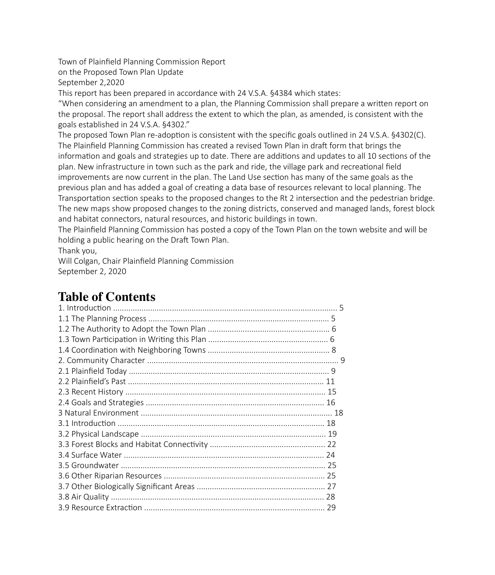Town of Plainfield Planning Commission Report

on the Proposed Town Plan Update

September 2,2020

This report has been prepared in accordance with 24 V.S.A. §4384 which states:

"When considering an amendment to a plan, the Planning Commission shall prepare a written report on the proposal. The report shall address the extent to which the plan, as amended, is consistent with the goals established in 24 V.S.A. §4302."

The proposed Town Plan re-adoption is consistent with the specific goals outlined in 24 V.S.A. §4302(C). The Plainfield Planning Commission has created a revised Town Plan in draft form that brings the information and goals and strategies up to date. There are additions and updates to all 10 sections of the plan. New infrastructure in town such as the park and ride, the village park and recreational field improvements are now current in the plan. The Land Use section has many of the same goals as the previous plan and has added a goal of creating a data base of resources relevant to local planning. The Transportation section speaks to the proposed changes to the Rt 2 intersection and the pedestrian bridge. The new maps show proposed changes to the zoning districts, conserved and managed lands, forest block and habitat connectors, natural resources, and historic buildings in town.

The Plainfield Planning Commission has posted a copy of the Town Plan on the town website and will be holding a public hearing on the Draft Town Plan.

Thank you,

Will Colgan, Chair Plainfield Planning Commission September 2, 2020

## **Table of Contents**